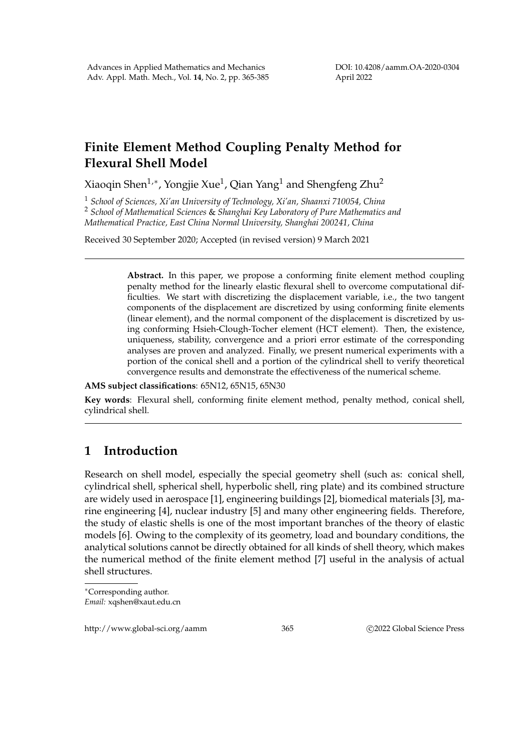DOI: 10.4208/aamm.OA-2020-0304 April 2022

## **Finite Element Method Coupling Penalty Method for Flexural Shell Model**

Xiaoqin Shen $^{1,\ast}$ , Yongjie Xue $^{1}$ , Qian Yang $^{1}$  and Shengfeng Zhu $^{2}$ 

<sup>1</sup> *School of Sciences, Xi'an University of Technology, Xi'an, Shaanxi 710054, China*

<sup>2</sup> *School of Mathematical Sciences* & *Shanghai Key Laboratory of Pure Mathematics and Mathematical Practice, East China Normal University, Shanghai 200241, China*

Received 30 September 2020; Accepted (in revised version) 9 March 2021

**Abstract.** In this paper, we propose a conforming finite element method coupling penalty method for the linearly elastic flexural shell to overcome computational difficulties. We start with discretizing the displacement variable, i.e., the two tangent components of the displacement are discretized by using conforming finite elements (linear element), and the normal component of the displacement is discretized by using conforming Hsieh-Clough-Tocher element (HCT element). Then, the existence, uniqueness, stability, convergence and a priori error estimate of the corresponding analyses are proven and analyzed. Finally, we present numerical experiments with a portion of the conical shell and a portion of the cylindrical shell to verify theoretical convergence results and demonstrate the effectiveness of the numerical scheme.

**AMS subject classifications**: 65N12, 65N15, 65N30

**Key words**: Flexural shell, conforming finite element method, penalty method, conical shell, cylindrical shell.

## **1 Introduction**

Research on shell model, especially the special geometry shell (such as: conical shell, cylindrical shell, spherical shell, hyperbolic shell, ring plate) and its combined structure are widely used in aerospace [1], engineering buildings [2], biomedical materials [3], marine engineering [4], nuclear industry [5] and many other engineering fields. Therefore, the study of elastic shells is one of the most important branches of the theory of elastic models [6]. Owing to the complexity of its geometry, load and boundary conditions, the analytical solutions cannot be directly obtained for all kinds of shell theory, which makes the numerical method of the finite element method [7] useful in the analysis of actual shell structures.

http://www.global-sci.org/aamm 365 c 2022 Global Science Press

<sup>∗</sup>Corresponding author. *Email:* xqshen@xaut.edu.cn